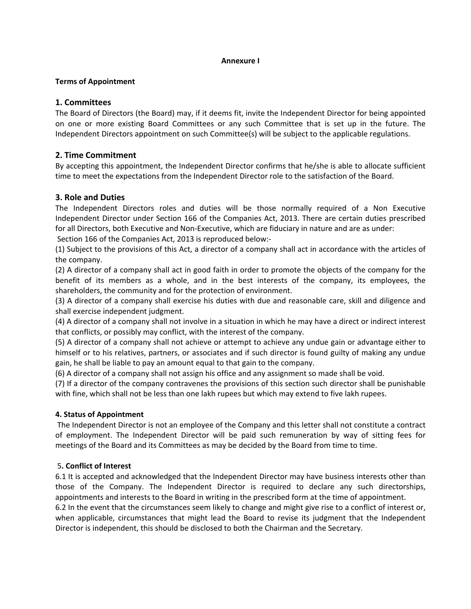#### **Annexure I**

### **Terms of Appointment**

# **1. Committees**

The Board of Directors (the Board) may, if it deems fit, invite the Independent Director for being appointed on one or more existing Board Committees or any such Committee that is set up in the future. The Independent Directors appointment on such Committee(s) will be subject to the applicable regulations.

# **2. Time Commitment**

By accepting this appointment, the Independent Director confirms that he/she is able to allocate sufficient time to meet the expectations from the Independent Director role to the satisfaction of the Board.

# **3. Role and Duties**

The Independent Directors roles and duties will be those normally required of a Non Executive Independent Director under Section 166 of the Companies Act, 2013. There are certain duties prescribed for all Directors, both Executive and Non-Executive, which are fiduciary in nature and are as under:

Section 166 of the Companies Act, 2013 is reproduced below:‐

(1) Subject to the provisions of this Act, a director of a company shall act in accordance with the articles of the company.

(2) A director of a company shall act in good faith in order to promote the objects of the company for the benefit of its members as a whole, and in the best interests of the company, its employees, the shareholders, the community and for the protection of environment.

(3) A director of a company shall exercise his duties with due and reasonable care, skill and diligence and shall exercise independent judgment.

(4) A director of a company shall not involve in a situation in which he may have a direct or indirect interest that conflicts, or possibly may conflict, with the interest of the company.

(5) A director of a company shall not achieve or attempt to achieve any undue gain or advantage either to himself or to his relatives, partners, or associates and if such director is found guilty of making any undue gain, he shall be liable to pay an amount equal to that gain to the company.

(6) A director of a company shall not assign his office and any assignment so made shall be void.

(7) If a director of the company contravenes the provisions of this section such director shall be punishable with fine, which shall not be less than one lakh rupees but which may extend to five lakh rupees.

### **4. Status of Appointment**

The Independent Director is not an employee of the Company and this letter shall not constitute a contract of employment. The Independent Director will be paid such remuneration by way of sitting fees for meetings of the Board and its Committees as may be decided by the Board from time to time.

### 5**. Conflict of Interest**

6.1 It is accepted and acknowledged that the Independent Director may have business interests other than those of the Company. The Independent Director is required to declare any such directorships, appointments and interests to the Board in writing in the prescribed form at the time of appointment. 6.2 In the event that the circumstances seem likely to change and might give rise to a conflict of interest or,

when applicable, circumstances that might lead the Board to revise its judgment that the Independent Director is independent, this should be disclosed to both the Chairman and the Secretary.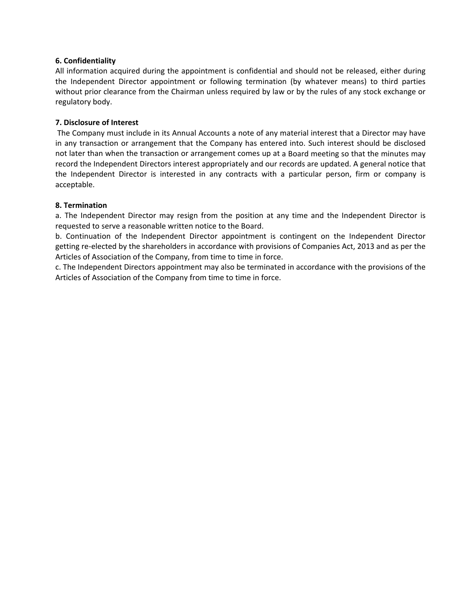### **6. Confidentiality**

All information acquired during the appointment is confidential and should not be released, either during the Independent Director appointment or following termination (by whatever means) to third parties without prior clearance from the Chairman unless required by law or by the rules of any stock exchange or regulatory body.

### **7. Disclosure of Interest**

The Company must include in its Annual Accounts a note of any material interest that a Director may have in any transaction or arrangement that the Company has entered into. Such interest should be disclosed not later than when the transaction or arrangement comes up at a Board meeting so that the minutes may record the Independent Directors interest appropriately and our records are updated. A general notice that the Independent Director is interested in any contracts with a particular person, firm or company is acceptable.

#### **8. Termination**

a. The Independent Director may resign from the position at any time and the Independent Director is requested to serve a reasonable written notice to the Board.

b. Continuation of the Independent Director appointment is contingent on the Independent Director getting re‐elected by the shareholders in accordance with provisions of Companies Act, 2013 and as per the Articles of Association of the Company, from time to time in force.

c. The Independent Directors appointment may also be terminated in accordance with the provisions of the Articles of Association of the Company from time to time in force.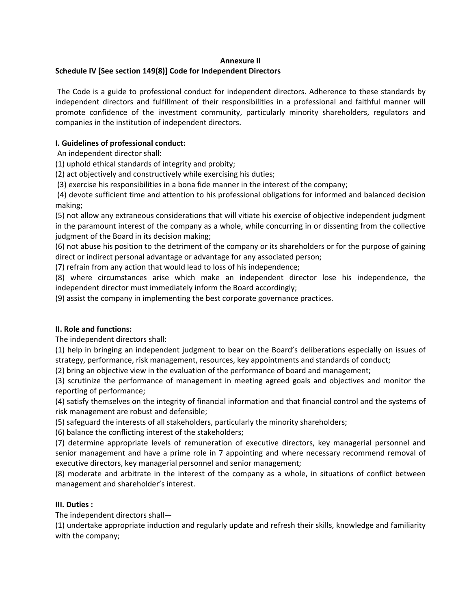#### **Annexure II**

## **Schedule IV [See section 149(8)] Code for Independent Directors**

The Code is a guide to professional conduct for independent directors. Adherence to these standards by independent directors and fulfillment of their responsibilities in a professional and faithful manner will promote confidence of the investment community, particularly minority shareholders, regulators and companies in the institution of independent directors.

## **I. Guidelines of professional conduct:**

An independent director shall:

(1) uphold ethical standards of integrity and probity;

(2) act objectively and constructively while exercising his duties;

(3) exercise his responsibilities in a bona fide manner in the interest of the company;

(4) devote sufficient time and attention to his professional obligations for informed and balanced decision making;

(5) not allow any extraneous considerations that will vitiate his exercise of objective independent judgment in the paramount interest of the company as a whole, while concurring in or dissenting from the collective judgment of the Board in its decision making;

(6) not abuse his position to the detriment of the company or its shareholders or for the purpose of gaining direct or indirect personal advantage or advantage for any associated person;

(7) refrain from any action that would lead to loss of his independence;

(8) where circumstances arise which make an independent director lose his independence, the independent director must immediately inform the Board accordingly;

(9) assist the company in implementing the best corporate governance practices.

### **II. Role and functions:**

The independent directors shall:

(1) help in bringing an independent judgment to bear on the Board's deliberations especially on issues of strategy, performance, risk management, resources, key appointments and standards of conduct;

(2) bring an objective view in the evaluation of the performance of board and management;

(3) scrutinize the performance of management in meeting agreed goals and objectives and monitor the reporting of performance;

(4) satisfy themselves on the integrity of financial information and that financial control and the systems of risk management are robust and defensible;

(5) safeguard the interests of all stakeholders, particularly the minority shareholders;

(6) balance the conflicting interest of the stakeholders;

(7) determine appropriate levels of remuneration of executive directors, key managerial personnel and senior management and have a prime role in 7 appointing and where necessary recommend removal of executive directors, key managerial personnel and senior management;

(8) moderate and arbitrate in the interest of the company as a whole, in situations of conflict between management and shareholder's interest.

### **III. Duties :**

The independent directors shall—

(1) undertake appropriate induction and regularly update and refresh their skills, knowledge and familiarity with the company;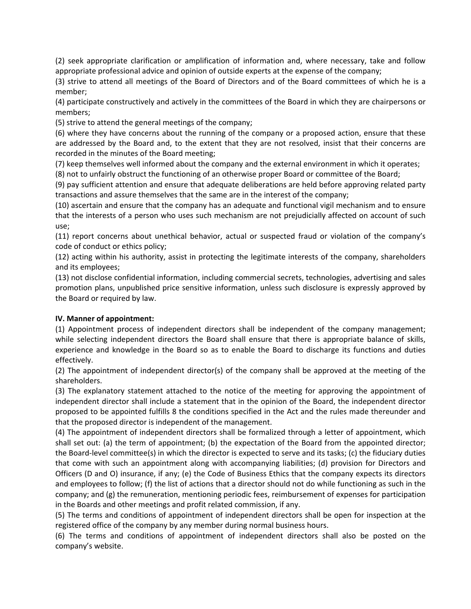(2) seek appropriate clarification or amplification of information and, where necessary, take and follow appropriate professional advice and opinion of outside experts at the expense of the company;

(3) strive to attend all meetings of the Board of Directors and of the Board committees of which he is a member;

(4) participate constructively and actively in the committees of the Board in which they are chairpersons or members;

(5) strive to attend the general meetings of the company;

(6) where they have concerns about the running of the company or a proposed action, ensure that these are addressed by the Board and, to the extent that they are not resolved, insist that their concerns are recorded in the minutes of the Board meeting;

(7) keep themselves well informed about the company and the external environment in which it operates;

(8) not to unfairly obstruct the functioning of an otherwise proper Board or committee of the Board;

(9) pay sufficient attention and ensure that adequate deliberations are held before approving related party transactions and assure themselves that the same are in the interest of the company;

(10) ascertain and ensure that the company has an adequate and functional vigil mechanism and to ensure that the interests of a person who uses such mechanism are not prejudicially affected on account of such use;

(11) report concerns about unethical behavior, actual or suspected fraud or violation of the company's code of conduct or ethics policy;

(12) acting within his authority, assist in protecting the legitimate interests of the company, shareholders and its employees;

(13) not disclose confidential information, including commercial secrets, technologies, advertising and sales promotion plans, unpublished price sensitive information, unless such disclosure is expressly approved by the Board or required by law.

### **IV. Manner of appointment:**

(1) Appointment process of independent directors shall be independent of the company management; while selecting independent directors the Board shall ensure that there is appropriate balance of skills, experience and knowledge in the Board so as to enable the Board to discharge its functions and duties effectively.

(2) The appointment of independent director(s) of the company shall be approved at the meeting of the shareholders.

(3) The explanatory statement attached to the notice of the meeting for approving the appointment of independent director shall include a statement that in the opinion of the Board, the independent director proposed to be appointed fulfills 8 the conditions specified in the Act and the rules made thereunder and that the proposed director is independent of the management.

(4) The appointment of independent directors shall be formalized through a letter of appointment, which shall set out: (a) the term of appointment; (b) the expectation of the Board from the appointed director; the Board‐level committee(s) in which the director is expected to serve and its tasks; (c) the fiduciary duties that come with such an appointment along with accompanying liabilities; (d) provision for Directors and Officers (D and O) insurance, if any; (e) the Code of Business Ethics that the company expects its directors and employees to follow; (f) the list of actions that a director should not do while functioning as such in the company; and (g) the remuneration, mentioning periodic fees, reimbursement of expenses for participation in the Boards and other meetings and profit related commission, if any.

(5) The terms and conditions of appointment of independent directors shall be open for inspection at the registered office of the company by any member during normal business hours.

(6) The terms and conditions of appointment of independent directors shall also be posted on the company's website.